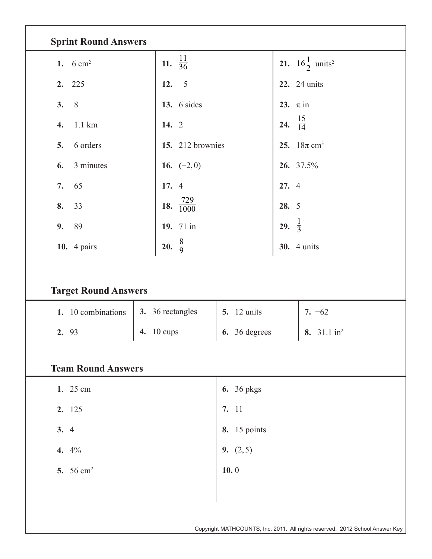| <b>Sprint Round Answers</b> |                        |                     |                                               |  |  |  |  |  |  |  |  |
|-----------------------------|------------------------|---------------------|-----------------------------------------------|--|--|--|--|--|--|--|--|
| 1. $6 \text{ cm}^2$         | 11. $\frac{11}{36}$    |                     | <b>21.</b> $16\frac{1}{2}$ units <sup>2</sup> |  |  |  |  |  |  |  |  |
| 2. 225                      | 12. $-5$               |                     | <b>22.</b> 24 units                           |  |  |  |  |  |  |  |  |
| $8\,$<br>3.                 | 13. $6$ sides          |                     | 23. $\pi$ in                                  |  |  |  |  |  |  |  |  |
| $1.1 \text{ km}$<br>4.      | 14. 2                  |                     | 24. $\frac{15}{14}$                           |  |  |  |  |  |  |  |  |
| 6 orders<br>5.              | 15. 212 brownies       |                     | 25. $18\pi$ cm <sup>3</sup>                   |  |  |  |  |  |  |  |  |
| 3 minutes<br>6.             | 16. $(-2,0)$           |                     | 26. 37.5%                                     |  |  |  |  |  |  |  |  |
| 65<br>7.                    | 17. 4                  |                     | 27. 4                                         |  |  |  |  |  |  |  |  |
| 8.<br>33                    | 18. $\frac{729}{1000}$ |                     | 28. 5                                         |  |  |  |  |  |  |  |  |
| 9.<br>89                    | 19. 71 in              |                     | 29. $\frac{1}{3}$                             |  |  |  |  |  |  |  |  |
| <b>10.</b> 4 pairs          | 20. $\frac{8}{9}$      |                     | <b>30.</b> 4 units                            |  |  |  |  |  |  |  |  |
| <b>Target Round Answers</b> |                        |                     |                                               |  |  |  |  |  |  |  |  |
| 1. 10 combinations          | 3. 36 rectangles       | <b>5.</b> 12 units  | 7. $-62$                                      |  |  |  |  |  |  |  |  |
| 2. 93                       | 10 cups<br>4.          | 6. 36 degrees       | 8. 31.1 in <sup>2</sup>                       |  |  |  |  |  |  |  |  |
| <b>Team Round Answers</b>   |                        |                     |                                               |  |  |  |  |  |  |  |  |
| 1. 25 cm                    |                        | <b>6.</b> 36 pkgs   |                                               |  |  |  |  |  |  |  |  |
| 2. 125                      |                        | 7. 11               |                                               |  |  |  |  |  |  |  |  |
| 3.4                         |                        | <b>8.</b> 15 points |                                               |  |  |  |  |  |  |  |  |
| 4. $4\%$                    |                        | 9. $(2,5)$          |                                               |  |  |  |  |  |  |  |  |
| 5. 56 cm <sup>2</sup>       |                        | 10.0                |                                               |  |  |  |  |  |  |  |  |
|                             |                        |                     |                                               |  |  |  |  |  |  |  |  |
|                             |                        |                     |                                               |  |  |  |  |  |  |  |  |

Copyright MATHCOUNTS, Inc. 2011. All rights reserved. 2012 School Answer Key